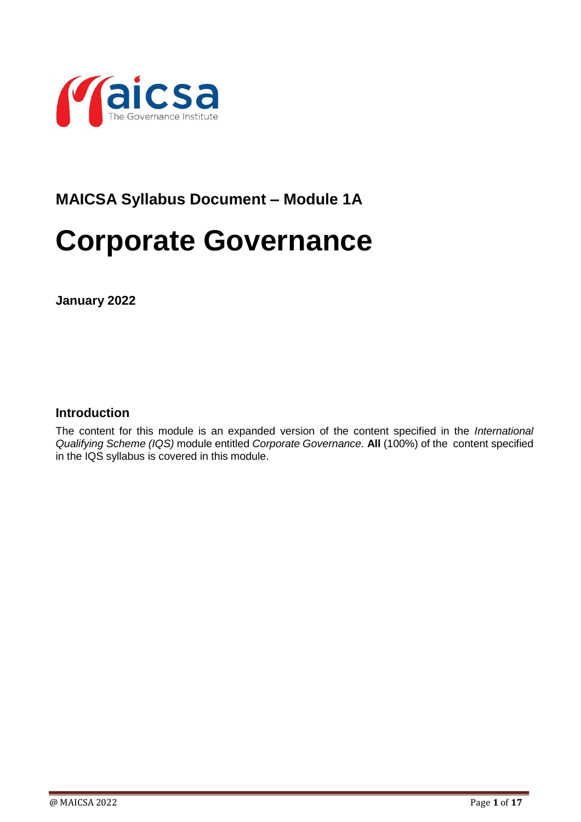

# **MAICSA Syllabus Document – Module 1A**

# **Corporate Governance**

**January 2022**

## **Introduction**

The content for this module is an expanded version of the content specified in the *International Qualifying Scheme (IQS)* module entitled *Corporate Governance.* **All** (100%) of the content specified in the IQS syllabus is covered in this module.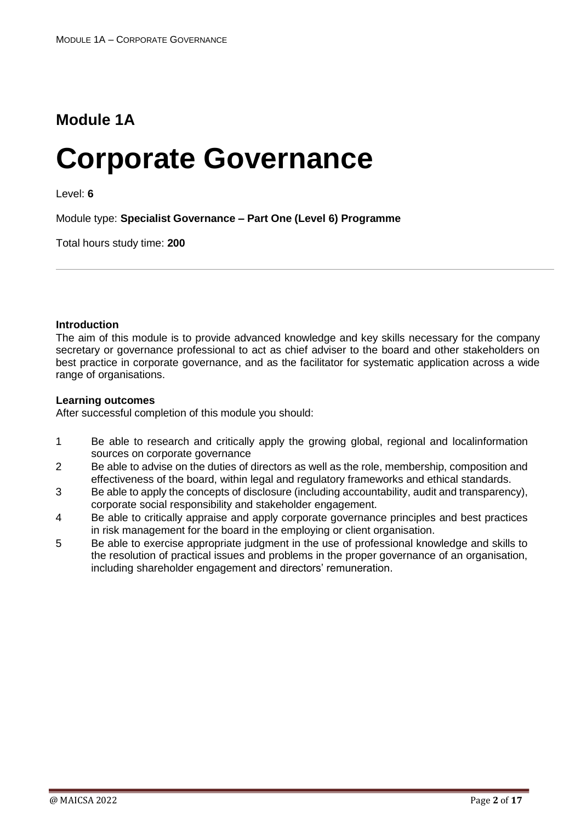# **Module 1A**

# **Corporate Governance**

Level: **6**

Module type: **Specialist Governance – Part One (Level 6) Programme**

Total hours study time: **200**

#### **Introduction**

The aim of this module is to provide advanced knowledge and key skills necessary for the company secretary or governance professional to act as chief adviser to the board and other stakeholders on best practice in corporate governance, and as the facilitator for systematic application across a wide range of organisations.

#### **Learning outcomes**

After successful completion of this module you should:

- 1 Be able to research and critically apply the growing global, regional and localinformation sources on corporate governance
- 2 Be able to advise on the duties of directors as well as the role, membership, composition and effectiveness of the board, within legal and regulatory frameworks and ethical standards.
- 3 Be able to apply the concepts of disclosure (including accountability, audit and transparency), corporate social responsibility and stakeholder engagement.
- 4 Be able to critically appraise and apply corporate governance principles and best practices in risk management for the board in the employing or client organisation.
- 5 Be able to exercise appropriate judgment in the use of professional knowledge and skills to the resolution of practical issues and problems in the proper governance of an organisation, including shareholder engagement and directors' remuneration.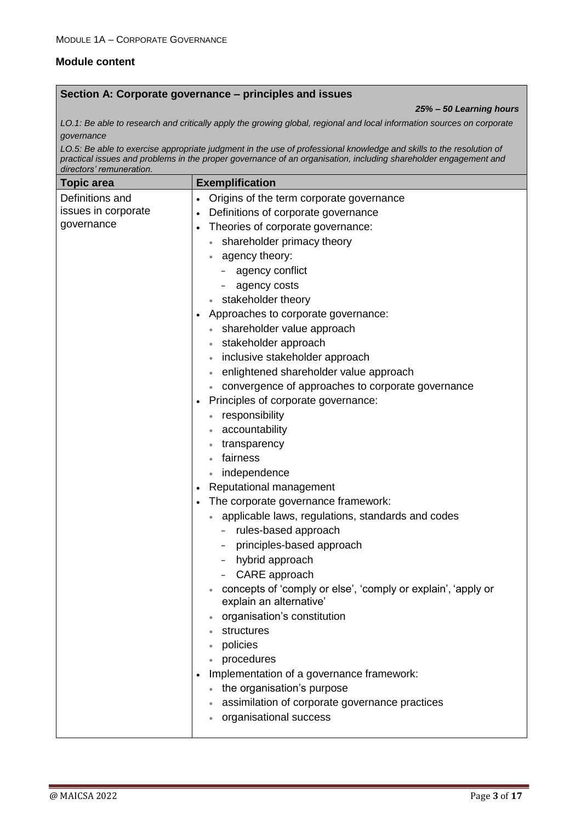### **Module content**

#### **Section A: Corporate governance – principles and issues**

*25% – 50 Learning hours*

*LO.1: Be able to research and critically apply the growing global, regional and local information sources on corporate governance*

*LO.5: Be able to exercise appropriate judgment in the use of professional knowledge and skills to the resolution of practical issues and problems in the proper governance of an organisation, including shareholder engagement and directors' remuneration.*

| <b>Topic area</b>   | <b>Exemplification</b>                                                                  |
|---------------------|-----------------------------------------------------------------------------------------|
| Definitions and     | Origins of the term corporate governance<br>$\bullet$                                   |
| issues in corporate | Definitions of corporate governance<br>$\bullet$                                        |
| governance          | Theories of corporate governance:<br>$\bullet$                                          |
|                     | shareholder primacy theory                                                              |
|                     | agency theory:                                                                          |
|                     | agency conflict                                                                         |
|                     | agency costs                                                                            |
|                     | stakeholder theory                                                                      |
|                     | Approaches to corporate governance:                                                     |
|                     | shareholder value approach                                                              |
|                     | stakeholder approach                                                                    |
|                     | inclusive stakeholder approach                                                          |
|                     | enlightened shareholder value approach                                                  |
|                     | convergence of approaches to corporate governance                                       |
|                     | Principles of corporate governance:                                                     |
|                     | responsibility                                                                          |
|                     | accountability                                                                          |
|                     | transparency                                                                            |
|                     | fairness                                                                                |
|                     | independence                                                                            |
|                     | Reputational management                                                                 |
|                     | The corporate governance framework:                                                     |
|                     | applicable laws, regulations, standards and codes                                       |
|                     | rules-based approach                                                                    |
|                     | principles-based approach                                                               |
|                     | hybrid approach                                                                         |
|                     | CARE approach                                                                           |
|                     | concepts of 'comply or else', 'comply or explain', 'apply or<br>explain an alternative' |
|                     | organisation's constitution                                                             |
|                     | structures                                                                              |
|                     | policies                                                                                |
|                     | procedures                                                                              |
|                     | Implementation of a governance framework:                                               |
|                     | the organisation's purpose                                                              |
|                     | assimilation of corporate governance practices                                          |
|                     | organisational success                                                                  |
|                     |                                                                                         |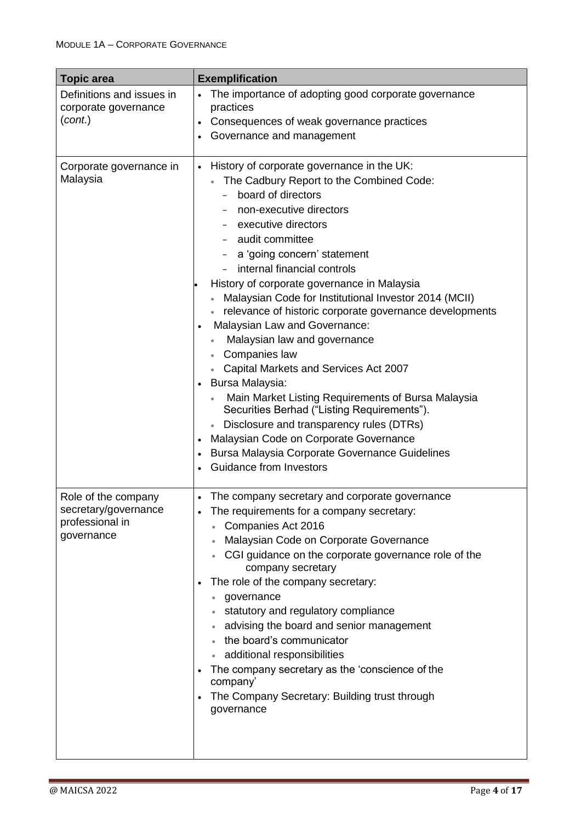| <b>Topic area</b>                                                            | <b>Exemplification</b>                                                                                                                                                                                                                                                                                                                                                                                                                                                                                                                                                                                                                                                                                                                                                                                                                                       |
|------------------------------------------------------------------------------|--------------------------------------------------------------------------------------------------------------------------------------------------------------------------------------------------------------------------------------------------------------------------------------------------------------------------------------------------------------------------------------------------------------------------------------------------------------------------------------------------------------------------------------------------------------------------------------------------------------------------------------------------------------------------------------------------------------------------------------------------------------------------------------------------------------------------------------------------------------|
| Definitions and issues in<br>corporate governance<br>(cont.)                 | The importance of adopting good corporate governance<br>$\bullet$<br>practices<br>Consequences of weak governance practices<br>Governance and management                                                                                                                                                                                                                                                                                                                                                                                                                                                                                                                                                                                                                                                                                                     |
| Corporate governance in<br>Malaysia                                          | History of corporate governance in the UK:<br>$\bullet$<br>The Cadbury Report to the Combined Code:<br>board of directors<br>non-executive directors<br>executive directors<br>audit committee<br>a 'going concern' statement<br>internal financial controls<br>History of corporate governance in Malaysia<br>Malaysian Code for Institutional Investor 2014 (MCII)<br>relevance of historic corporate governance developments<br>Malaysian Law and Governance:<br>Malaysian law and governance<br>Companies law<br>Capital Markets and Services Act 2007<br>Bursa Malaysia:<br>Main Market Listing Requirements of Bursa Malaysia<br>Securities Berhad ("Listing Requirements").<br>Disclosure and transparency rules (DTRs)<br>Malaysian Code on Corporate Governance<br>Bursa Malaysia Corporate Governance Guidelines<br><b>Guidance from Investors</b> |
| Role of the company<br>secretary/governance<br>professional in<br>governance | The company secretary and corporate governance<br>$\bullet$<br>The requirements for a company secretary:<br>Companies Act 2016<br>Malaysian Code on Corporate Governance<br>CGI guidance on the corporate governance role of the<br>company secretary<br>The role of the company secretary:<br>governance<br>statutory and regulatory compliance<br>advising the board and senior management<br>the board's communicator<br>additional responsibilities<br>The company secretary as the 'conscience of the<br>company'<br>The Company Secretary: Building trust through<br>governance                                                                                                                                                                                                                                                                        |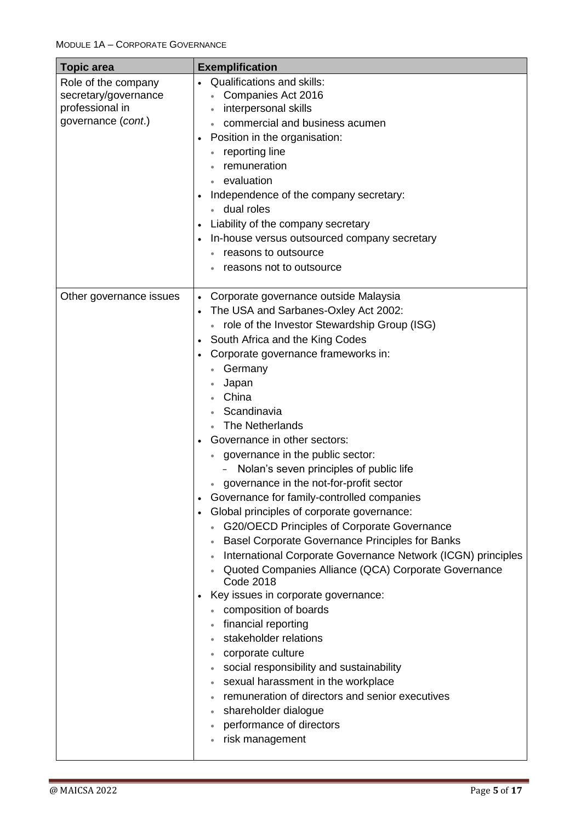| <b>Topic area</b>                                                                    | <b>Exemplification</b>                                                                                                                                                                                                                                                                                                                                                                                                                                                                                                                                                                                                                                                                                                                                                                                                                                                                                                                                                                                                                                                                                                                                                      |
|--------------------------------------------------------------------------------------|-----------------------------------------------------------------------------------------------------------------------------------------------------------------------------------------------------------------------------------------------------------------------------------------------------------------------------------------------------------------------------------------------------------------------------------------------------------------------------------------------------------------------------------------------------------------------------------------------------------------------------------------------------------------------------------------------------------------------------------------------------------------------------------------------------------------------------------------------------------------------------------------------------------------------------------------------------------------------------------------------------------------------------------------------------------------------------------------------------------------------------------------------------------------------------|
| Role of the company<br>secretary/governance<br>professional in<br>governance (cont.) | <b>Qualifications and skills:</b><br>Companies Act 2016<br>interpersonal skills<br>commercial and business acumen<br>Position in the organisation:<br>reporting line<br>remuneration<br>evaluation<br>Independence of the company secretary:<br>dual roles<br>Liability of the company secretary<br>In-house versus outsourced company secretary<br>reasons to outsource<br>reasons not to outsource                                                                                                                                                                                                                                                                                                                                                                                                                                                                                                                                                                                                                                                                                                                                                                        |
| Other governance issues                                                              | Corporate governance outside Malaysia<br>The USA and Sarbanes-Oxley Act 2002:<br>• role of the Investor Stewardship Group (ISG)<br>South Africa and the King Codes<br>Corporate governance frameworks in:<br>Germany<br>Japan<br>China<br>Scandinavia<br>The Netherlands<br>Governance in other sectors:<br>governance in the public sector:<br>Nolan's seven principles of public life<br>governance in the not-for-profit sector<br>Governance for family-controlled companies<br>Global principles of corporate governance:<br>G20/OECD Principles of Corporate Governance<br><b>Basel Corporate Governance Principles for Banks</b><br>International Corporate Governance Network (ICGN) principles<br>Quoted Companies Alliance (QCA) Corporate Governance<br><b>Code 2018</b><br>Key issues in corporate governance:<br>composition of boards<br>financial reporting<br>stakeholder relations<br>corporate culture<br>$\bullet$<br>social responsibility and sustainability<br>sexual harassment in the workplace<br>$\bullet$<br>remuneration of directors and senior executives<br>shareholder dialogue<br>performance of directors<br>risk management<br>$\bullet$ |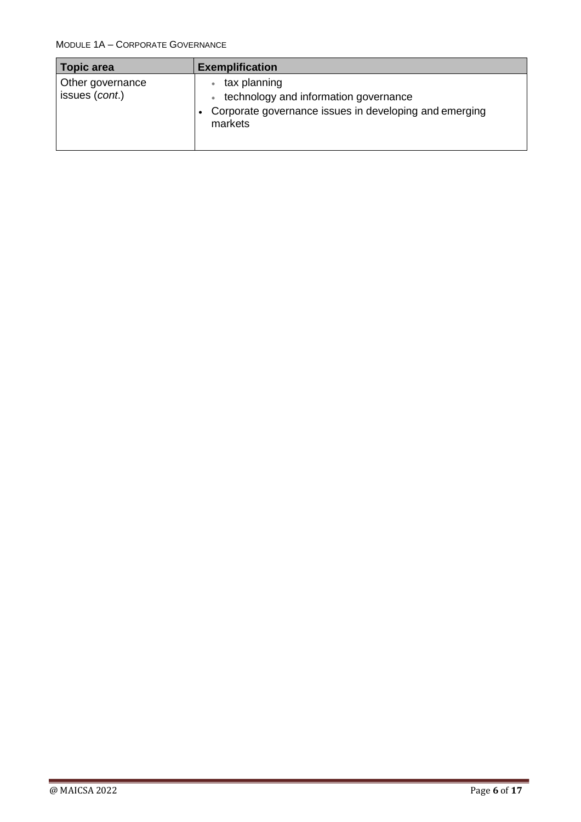| <b>Topic area</b>                  | <b>Exemplification</b>                                                                                                     |
|------------------------------------|----------------------------------------------------------------------------------------------------------------------------|
| Other governance<br>issues (cont.) | tax planning<br>technology and information governance<br>Corporate governance issues in developing and emerging<br>markets |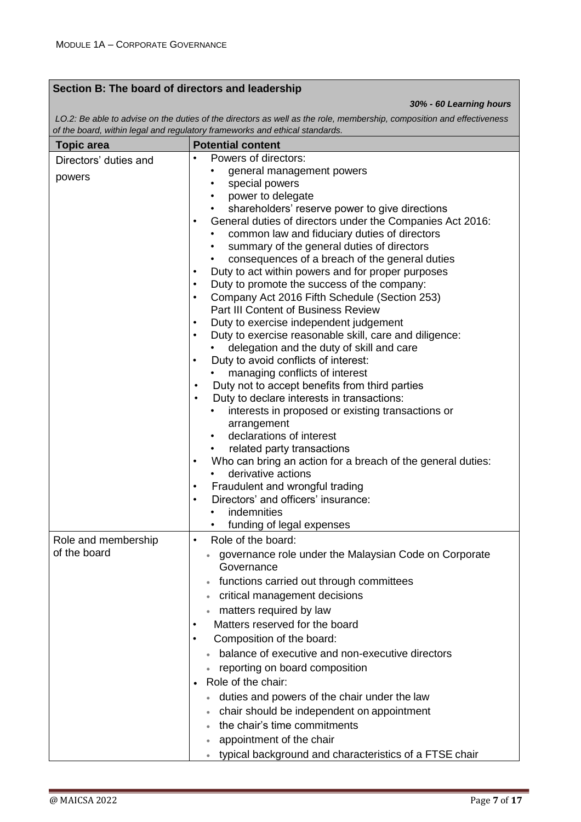## **Section B: The board of directors and leadership**

*30% - 60 Learning hours*

*LO.2: Be able to advise on the duties of the directors as well as the role, membership, composition and effectiveness of the board, within legal and regulatory frameworks and ethical standards.*

| <b>Topic area</b>     | <b>Potential content</b>                                                                                               |
|-----------------------|------------------------------------------------------------------------------------------------------------------------|
| Directors' duties and | Powers of directors:                                                                                                   |
| powers                | general management powers                                                                                              |
|                       | special powers                                                                                                         |
|                       | power to delegate                                                                                                      |
|                       | shareholders' reserve power to give directions                                                                         |
|                       | General duties of directors under the Companies Act 2016:<br>$\bullet$<br>common law and fiduciary duties of directors |
|                       | summary of the general duties of directors                                                                             |
|                       | consequences of a breach of the general duties                                                                         |
|                       | Duty to act within powers and for proper purposes                                                                      |
|                       | Duty to promote the success of the company:<br>٠                                                                       |
|                       | Company Act 2016 Fifth Schedule (Section 253)                                                                          |
|                       | <b>Part III Content of Business Review</b>                                                                             |
|                       | Duty to exercise independent judgement                                                                                 |
|                       | Duty to exercise reasonable skill, care and diligence:<br>$\bullet$                                                    |
|                       | delegation and the duty of skill and care                                                                              |
|                       | Duty to avoid conflicts of interest:<br>٠                                                                              |
|                       | managing conflicts of interest<br>$\bullet$                                                                            |
|                       | Duty not to accept benefits from third parties<br>Duty to declare interests in transactions:                           |
|                       | interests in proposed or existing transactions or                                                                      |
|                       | arrangement                                                                                                            |
|                       | declarations of interest                                                                                               |
|                       | related party transactions                                                                                             |
|                       | Who can bring an action for a breach of the general duties:<br>$\bullet$                                               |
|                       | derivative actions                                                                                                     |
|                       | Fraudulent and wrongful trading                                                                                        |
|                       | Directors' and officers' insurance:                                                                                    |
|                       | indemnities                                                                                                            |
|                       | funding of legal expenses                                                                                              |
| Role and membership   | Role of the board:<br>٠                                                                                                |
| of the board          | governance role under the Malaysian Code on Corporate                                                                  |
|                       | Governance                                                                                                             |
|                       | functions carried out through committees                                                                               |
|                       | critical management decisions                                                                                          |
|                       | matters required by law                                                                                                |
|                       | Matters reserved for the board<br>٠                                                                                    |
|                       | Composition of the board:                                                                                              |
|                       | balance of executive and non-executive directors                                                                       |
|                       | reporting on board composition                                                                                         |
|                       | Role of the chair:                                                                                                     |
|                       | duties and powers of the chair under the law                                                                           |
|                       | chair should be independent on appointment                                                                             |
|                       | the chair's time commitments                                                                                           |
|                       | appointment of the chair                                                                                               |
|                       | typical background and characteristics of a FTSE chair                                                                 |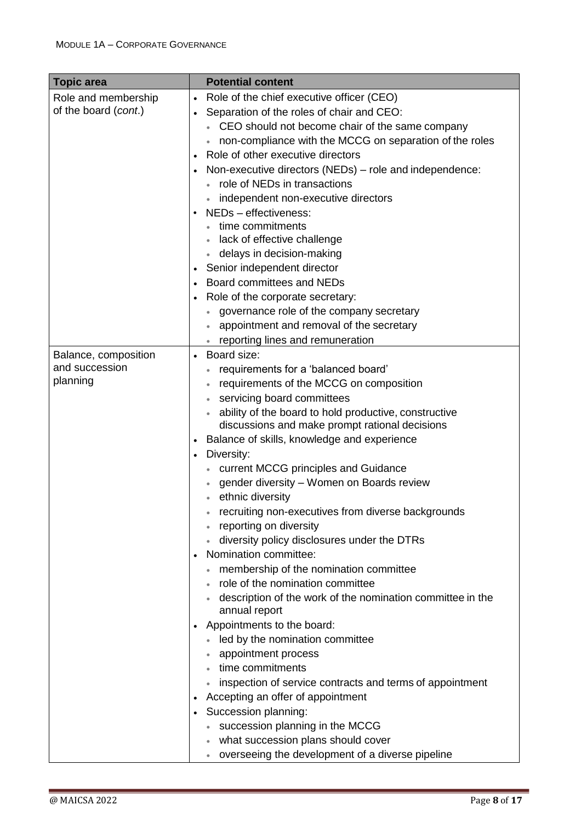| <b>Topic area</b>    |           | <b>Potential content</b>                                                    |
|----------------------|-----------|-----------------------------------------------------------------------------|
| Role and membership  | $\bullet$ | Role of the chief executive officer (CEO)                                   |
| of the board (cont.) | $\bullet$ | Separation of the roles of chair and CEO:                                   |
|                      |           | CEO should not become chair of the same company                             |
|                      |           | non-compliance with the MCCG on separation of the roles                     |
|                      |           | Role of other executive directors                                           |
|                      |           | Non-executive directors (NEDs) - role and independence:                     |
|                      |           | role of NEDs in transactions                                                |
|                      |           | independent non-executive directors                                         |
|                      |           | NEDs - effectiveness:                                                       |
|                      |           | time commitments                                                            |
|                      |           | lack of effective challenge                                                 |
|                      |           | delays in decision-making                                                   |
|                      |           | Senior independent director                                                 |
|                      |           | Board committees and NEDs                                                   |
|                      |           | Role of the corporate secretary:                                            |
|                      |           | governance role of the company secretary                                    |
|                      |           | appointment and removal of the secretary                                    |
|                      |           | reporting lines and remuneration                                            |
| Balance, composition | $\bullet$ | Board size:                                                                 |
| and succession       |           | requirements for a 'balanced board'                                         |
| planning             |           | requirements of the MCCG on composition                                     |
|                      |           | servicing board committees                                                  |
|                      |           | ability of the board to hold productive, constructive                       |
|                      |           | discussions and make prompt rational decisions                              |
|                      |           | Balance of skills, knowledge and experience                                 |
|                      | $\bullet$ | Diversity:                                                                  |
|                      |           | current MCCG principles and Guidance                                        |
|                      |           | gender diversity - Women on Boards review                                   |
|                      |           | ethnic diversity                                                            |
|                      |           | recruiting non-executives from diverse backgrounds                          |
|                      |           | reporting on diversity                                                      |
|                      |           | diversity policy disclosures under the DTRs                                 |
|                      | $\bullet$ | Nomination committee:                                                       |
|                      |           | membership of the nomination committee                                      |
|                      |           | role of the nomination committee                                            |
|                      |           | description of the work of the nomination committee in the<br>annual report |
|                      |           | Appointments to the board:                                                  |
|                      |           | led by the nomination committee                                             |
|                      |           | appointment process                                                         |
|                      |           | time commitments                                                            |
|                      |           | inspection of service contracts and terms of appointment                    |
|                      |           | Accepting an offer of appointment                                           |
|                      |           | Succession planning:                                                        |
|                      |           | succession planning in the MCCG                                             |
|                      |           | what succession plans should cover                                          |
|                      |           | overseeing the development of a diverse pipeline<br>$\bullet$               |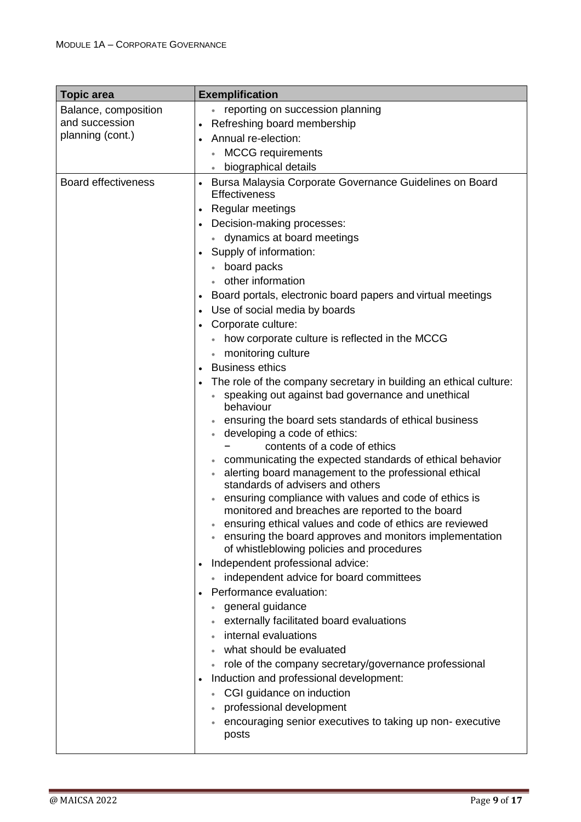| <b>Topic area</b>          | <b>Exemplification</b>                                                                                                                                                                                                                                                                                                                                                                                                |
|----------------------------|-----------------------------------------------------------------------------------------------------------------------------------------------------------------------------------------------------------------------------------------------------------------------------------------------------------------------------------------------------------------------------------------------------------------------|
| Balance, composition       | reporting on succession planning                                                                                                                                                                                                                                                                                                                                                                                      |
| and succession             | Refreshing board membership                                                                                                                                                                                                                                                                                                                                                                                           |
| planning (cont.)           | Annual re-election:                                                                                                                                                                                                                                                                                                                                                                                                   |
|                            | <b>MCCG</b> requirements                                                                                                                                                                                                                                                                                                                                                                                              |
|                            | biographical details                                                                                                                                                                                                                                                                                                                                                                                                  |
| <b>Board effectiveness</b> | Bursa Malaysia Corporate Governance Guidelines on Board<br><b>Effectiveness</b>                                                                                                                                                                                                                                                                                                                                       |
|                            | Regular meetings                                                                                                                                                                                                                                                                                                                                                                                                      |
|                            | Decision-making processes:                                                                                                                                                                                                                                                                                                                                                                                            |
|                            | dynamics at board meetings                                                                                                                                                                                                                                                                                                                                                                                            |
|                            | Supply of information:                                                                                                                                                                                                                                                                                                                                                                                                |
|                            | board packs                                                                                                                                                                                                                                                                                                                                                                                                           |
|                            | other information                                                                                                                                                                                                                                                                                                                                                                                                     |
|                            | Board portals, electronic board papers and virtual meetings                                                                                                                                                                                                                                                                                                                                                           |
|                            | Use of social media by boards                                                                                                                                                                                                                                                                                                                                                                                         |
|                            | Corporate culture:                                                                                                                                                                                                                                                                                                                                                                                                    |
|                            | how corporate culture is reflected in the MCCG                                                                                                                                                                                                                                                                                                                                                                        |
|                            | monitoring culture                                                                                                                                                                                                                                                                                                                                                                                                    |
|                            | <b>Business ethics</b>                                                                                                                                                                                                                                                                                                                                                                                                |
|                            | The role of the company secretary in building an ethical culture:<br>speaking out against bad governance and unethical<br>behaviour<br>ensuring the board sets standards of ethical business<br>developing a code of ethics:<br>contents of a code of ethics<br>communicating the expected standards of ethical behavior<br>alerting board management to the professional ethical<br>standards of advisers and others |
|                            | ensuring compliance with values and code of ethics is<br>monitored and breaches are reported to the board<br>ensuring ethical values and code of ethics are reviewed<br>ensuring the board approves and monitors implementation<br>of whistleblowing policies and procedures<br>Independent professional advice:                                                                                                      |
|                            | independent advice for board committees                                                                                                                                                                                                                                                                                                                                                                               |
|                            | Performance evaluation:                                                                                                                                                                                                                                                                                                                                                                                               |
|                            | general guidance                                                                                                                                                                                                                                                                                                                                                                                                      |
|                            | externally facilitated board evaluations                                                                                                                                                                                                                                                                                                                                                                              |
|                            | internal evaluations                                                                                                                                                                                                                                                                                                                                                                                                  |
|                            | what should be evaluated                                                                                                                                                                                                                                                                                                                                                                                              |
|                            | role of the company secretary/governance professional                                                                                                                                                                                                                                                                                                                                                                 |
|                            | Induction and professional development:                                                                                                                                                                                                                                                                                                                                                                               |
|                            | CGI guidance on induction                                                                                                                                                                                                                                                                                                                                                                                             |
|                            | professional development                                                                                                                                                                                                                                                                                                                                                                                              |
|                            | encouraging senior executives to taking up non-executive<br>posts                                                                                                                                                                                                                                                                                                                                                     |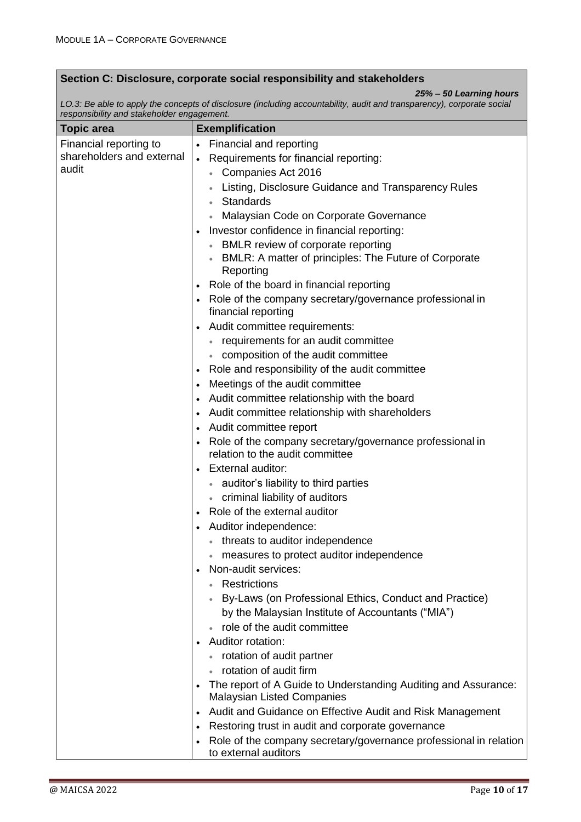#### **Section C: Disclosure, corporate social responsibility and stakeholders**

*25% – 50 Learning hours*

*LO.3: Be able to apply the concepts of disclosure (including accountability, audit and transparency), corporate social responsibility and stakeholder engagement.*

| <b>Topic area</b>         | <b>Exemplification</b>                                                                                           |
|---------------------------|------------------------------------------------------------------------------------------------------------------|
| Financial reporting to    | <b>Financial and reporting</b><br>$\bullet$                                                                      |
| shareholders and external | Requirements for financial reporting:<br>$\bullet$                                                               |
| audit                     | Companies Act 2016                                                                                               |
|                           | Listing, Disclosure Guidance and Transparency Rules                                                              |
|                           | Standards                                                                                                        |
|                           | Malaysian Code on Corporate Governance                                                                           |
|                           | Investor confidence in financial reporting:                                                                      |
|                           | BMLR review of corporate reporting                                                                               |
|                           | BMLR: A matter of principles: The Future of Corporate<br>Reporting                                               |
|                           | Role of the board in financial reporting                                                                         |
|                           | Role of the company secretary/governance professional in<br>financial reporting                                  |
|                           | Audit committee requirements:                                                                                    |
|                           | • requirements for an audit committee                                                                            |
|                           | • composition of the audit committee                                                                             |
|                           | Role and responsibility of the audit committee<br>$\bullet$                                                      |
|                           | Meetings of the audit committee<br>$\bullet$                                                                     |
|                           | Audit committee relationship with the board<br>$\bullet$                                                         |
|                           | Audit committee relationship with shareholders                                                                   |
|                           | Audit committee report<br>$\bullet$                                                                              |
|                           | Role of the company secretary/governance professional in                                                         |
|                           | relation to the audit committee                                                                                  |
|                           | <b>External auditor:</b>                                                                                         |
|                           | • auditor's liability to third parties                                                                           |
|                           | • criminal liability of auditors                                                                                 |
|                           | Role of the external auditor                                                                                     |
|                           | Auditor independence:<br>$\bullet$                                                                               |
|                           | • threats to auditor independence                                                                                |
|                           | measures to protect auditor independence                                                                         |
|                           | Non-audit services:                                                                                              |
|                           | Restrictions                                                                                                     |
|                           | By-Laws (on Professional Ethics, Conduct and Practice)                                                           |
|                           | by the Malaysian Institute of Accountants ("MIA")                                                                |
|                           | role of the audit committee                                                                                      |
|                           | Auditor rotation:                                                                                                |
|                           | rotation of audit partner                                                                                        |
|                           | rotation of audit firm                                                                                           |
|                           | The report of A Guide to Understanding Auditing and Assurance:<br>$\bullet$<br><b>Malaysian Listed Companies</b> |
|                           | Audit and Guidance on Effective Audit and Risk Management<br>$\bullet$                                           |
|                           | Restoring trust in audit and corporate governance<br>$\bullet$                                                   |
|                           | Role of the company secretary/governance professional in relation                                                |
|                           | to external auditors                                                                                             |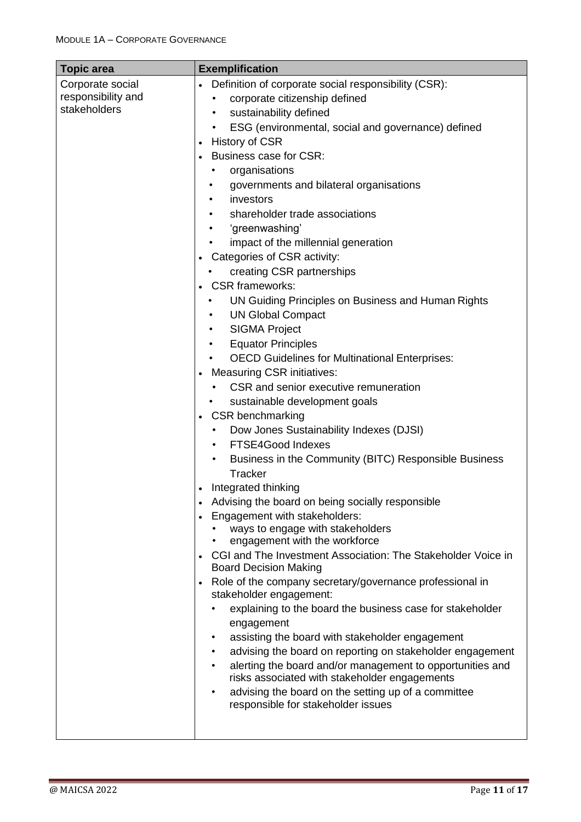| <b>Topic area</b>  | <b>Exemplification</b>                                                                                                              |
|--------------------|-------------------------------------------------------------------------------------------------------------------------------------|
| Corporate social   | Definition of corporate social responsibility (CSR):                                                                                |
| responsibility and | corporate citizenship defined                                                                                                       |
| stakeholders       | sustainability defined                                                                                                              |
|                    | ESG (environmental, social and governance) defined                                                                                  |
|                    | History of CSR                                                                                                                      |
|                    | <b>Business case for CSR:</b>                                                                                                       |
|                    | organisations                                                                                                                       |
|                    | governments and bilateral organisations                                                                                             |
|                    | investors                                                                                                                           |
|                    | shareholder trade associations                                                                                                      |
|                    | 'greenwashing'                                                                                                                      |
|                    | impact of the millennial generation                                                                                                 |
|                    | Categories of CSR activity:                                                                                                         |
|                    | creating CSR partnerships                                                                                                           |
|                    | • CSR frameworks:                                                                                                                   |
|                    | UN Guiding Principles on Business and Human Rights                                                                                  |
|                    | <b>UN Global Compact</b>                                                                                                            |
|                    | <b>SIGMA Project</b>                                                                                                                |
|                    | <b>Equator Principles</b><br>$\bullet$                                                                                              |
|                    | <b>OECD Guidelines for Multinational Enterprises:</b>                                                                               |
|                    | <b>Measuring CSR initiatives:</b>                                                                                                   |
|                    | CSR and senior executive remuneration                                                                                               |
|                    | sustainable development goals                                                                                                       |
|                    | <b>CSR benchmarking</b>                                                                                                             |
|                    | Dow Jones Sustainability Indexes (DJSI)<br>٠                                                                                        |
|                    | FTSE4Good Indexes<br>$\bullet$                                                                                                      |
|                    | Business in the Community (BITC) Responsible Business<br>$\bullet$                                                                  |
|                    | Tracker                                                                                                                             |
|                    | Integrated thinking                                                                                                                 |
|                    | Advising the board on being socially responsible                                                                                    |
|                    | Engagement with stakeholders:<br>ways to engage with stakeholders                                                                   |
|                    | engagement with the workforce                                                                                                       |
|                    | CGI and The Investment Association: The Stakeholder Voice in                                                                        |
|                    | <b>Board Decision Making</b>                                                                                                        |
|                    | Role of the company secretary/governance professional in                                                                            |
|                    | stakeholder engagement:                                                                                                             |
|                    | explaining to the board the business case for stakeholder                                                                           |
|                    | engagement                                                                                                                          |
|                    | assisting the board with stakeholder engagement<br>٠                                                                                |
|                    | advising the board on reporting on stakeholder engagement<br>alerting the board and/or management to opportunities and<br>$\bullet$ |
|                    | risks associated with stakeholder engagements                                                                                       |
|                    | advising the board on the setting up of a committee<br>responsible for stakeholder issues                                           |
|                    |                                                                                                                                     |
|                    |                                                                                                                                     |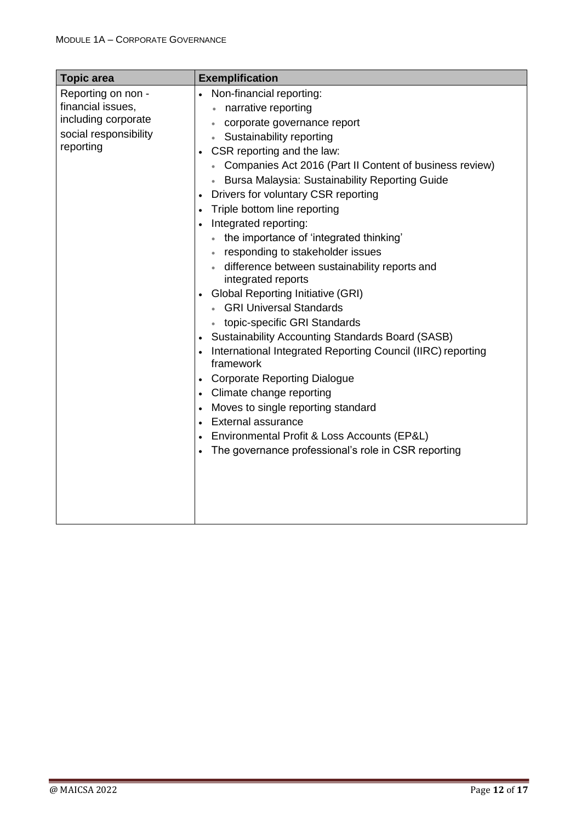| <b>Topic area</b>                                                                                    | <b>Exemplification</b>                                                                                                                                                                                                                                                                                                                                                                                                                                                                                                                                                                                                                                                                                                                                                                                                                                                                                                                                                                                                          |
|------------------------------------------------------------------------------------------------------|---------------------------------------------------------------------------------------------------------------------------------------------------------------------------------------------------------------------------------------------------------------------------------------------------------------------------------------------------------------------------------------------------------------------------------------------------------------------------------------------------------------------------------------------------------------------------------------------------------------------------------------------------------------------------------------------------------------------------------------------------------------------------------------------------------------------------------------------------------------------------------------------------------------------------------------------------------------------------------------------------------------------------------|
| Reporting on non -<br>financial issues,<br>including corporate<br>social responsibility<br>reporting | Non-financial reporting:<br>$\bullet$<br>narrative reporting<br>corporate governance report<br>$\bullet$<br>Sustainability reporting<br>CSR reporting and the law:<br>Companies Act 2016 (Part II Content of business review)<br>Bursa Malaysia: Sustainability Reporting Guide<br>Drivers for voluntary CSR reporting<br>Triple bottom line reporting<br>Integrated reporting:<br>the importance of 'integrated thinking'<br>responding to stakeholder issues<br>difference between sustainability reports and<br>integrated reports<br><b>Global Reporting Initiative (GRI)</b><br><b>GRI Universal Standards</b><br>topic-specific GRI Standards<br><b>Sustainability Accounting Standards Board (SASB)</b><br>International Integrated Reporting Council (IIRC) reporting<br>framework<br><b>Corporate Reporting Dialogue</b><br>Climate change reporting<br>Moves to single reporting standard<br>External assurance<br>Environmental Profit & Loss Accounts (EP&L)<br>The governance professional's role in CSR reporting |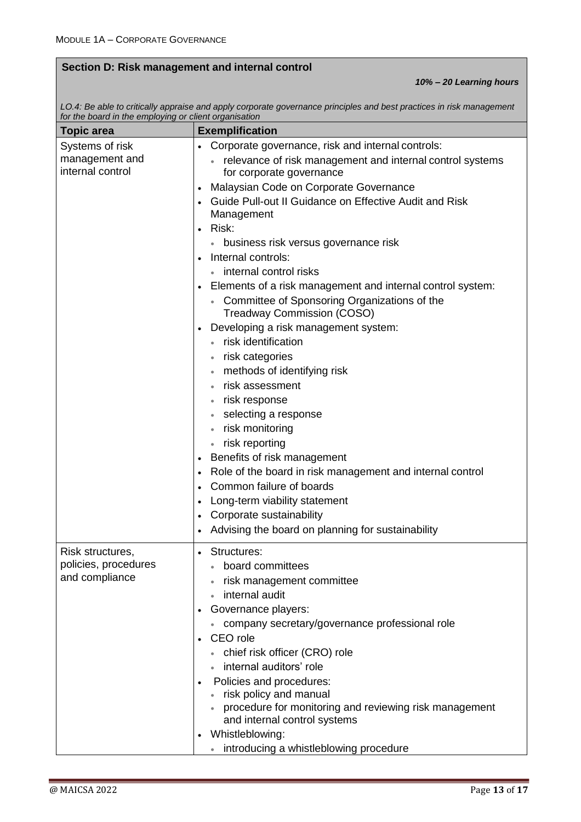### **Section D: Risk management and internal control**

*10% – 20 Learning hours*

*LO.4: Be able to critically appraise and apply corporate governance principles and best practices in risk management for the board in the employing or client organisation*

| <b>Topic area</b>                        | <b>Exemplification</b>                                                              |
|------------------------------------------|-------------------------------------------------------------------------------------|
| Systems of risk                          | Corporate governance, risk and internal controls:                                   |
| management and                           | relevance of risk management and internal control systems                           |
| internal control                         | for corporate governance                                                            |
|                                          | Malaysian Code on Corporate Governance                                              |
|                                          | Guide Pull-out II Guidance on Effective Audit and Risk                              |
|                                          | Management                                                                          |
|                                          | Risk:<br>$\bullet$                                                                  |
|                                          | • business risk versus governance risk                                              |
|                                          | Internal controls:                                                                  |
|                                          | internal control risks                                                              |
|                                          | Elements of a risk management and internal control system:                          |
|                                          | • Committee of Sponsoring Organizations of the<br><b>Treadway Commission (COSO)</b> |
|                                          |                                                                                     |
|                                          | Developing a risk management system:<br>• risk identification                       |
|                                          | risk categories                                                                     |
|                                          | methods of identifying risk<br>$\bullet$                                            |
|                                          | risk assessment                                                                     |
|                                          | risk response<br>$\bullet$                                                          |
|                                          | selecting a response                                                                |
|                                          | risk monitoring                                                                     |
|                                          | • risk reporting                                                                    |
|                                          | Benefits of risk management                                                         |
|                                          | Role of the board in risk management and internal control                           |
|                                          | Common failure of boards<br>$\bullet$                                               |
|                                          | Long-term viability statement                                                       |
|                                          | Corporate sustainability                                                            |
|                                          | Advising the board on planning for sustainability                                   |
|                                          |                                                                                     |
| Risk structures,<br>policies, procedures | Structures:<br>$\bullet$                                                            |
| and compliance                           | board committees                                                                    |
|                                          | risk management committee<br>internal audit                                         |
|                                          |                                                                                     |
|                                          | Governance players:<br>• company secretary/governance professional role             |
|                                          | CEO role                                                                            |
|                                          | • chief risk officer (CRO) role                                                     |
|                                          | internal auditors' role                                                             |
|                                          | Policies and procedures:                                                            |
|                                          | • risk policy and manual                                                            |
|                                          | procedure for monitoring and reviewing risk management                              |
|                                          | and internal control systems                                                        |
|                                          | • Whistleblowing:                                                                   |
|                                          | introducing a whistleblowing procedure                                              |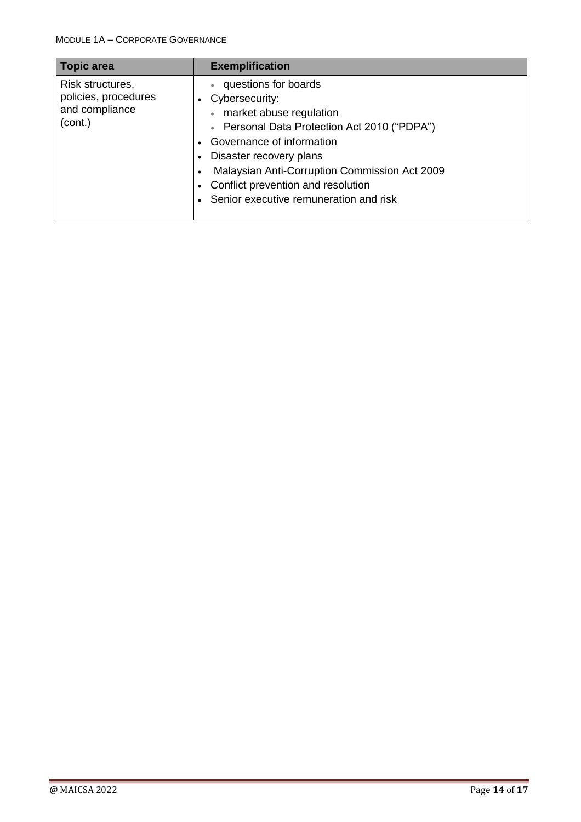| <b>Topic area</b>                                                     | <b>Exemplification</b>                                                                                                                                                                                                                                                                                   |
|-----------------------------------------------------------------------|----------------------------------------------------------------------------------------------------------------------------------------------------------------------------------------------------------------------------------------------------------------------------------------------------------|
| Risk structures,<br>policies, procedures<br>and compliance<br>(cont.) | questions for boards<br>Cybersecurity:<br>market abuse regulation<br>Personal Data Protection Act 2010 ("PDPA")<br>Governance of information<br>Disaster recovery plans<br>Malaysian Anti-Corruption Commission Act 2009<br>Conflict prevention and resolution<br>Senior executive remuneration and risk |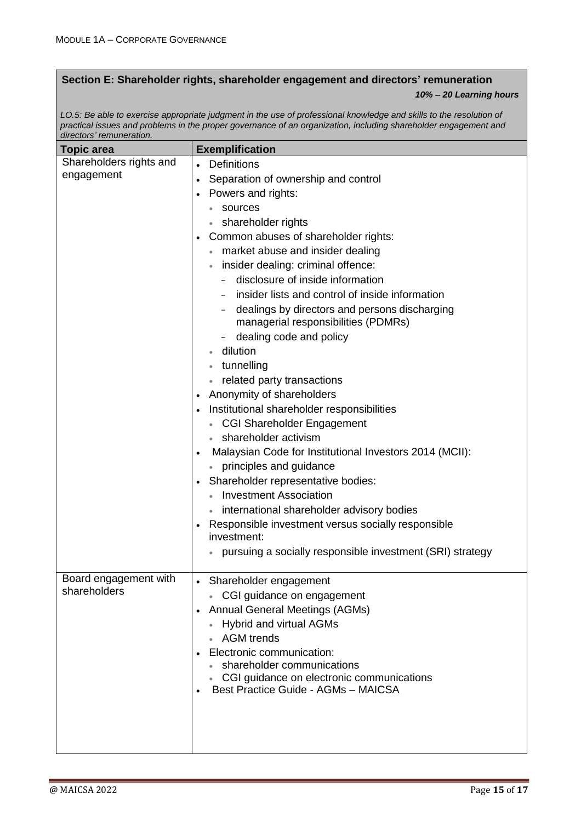### **Section E: Shareholder rights, shareholder engagement and directors' remuneration**

#### *10% – 20 Learning hours*

*LO.5: Be able to exercise appropriate judgment in the use of professional knowledge and skills to the resolution of practical issues and problems in the proper governance of an organization, including shareholder engagement and directors' remuneration.*

| <b>Topic area</b>       | <b>Exemplification</b>                                               |
|-------------------------|----------------------------------------------------------------------|
| Shareholders rights and | Definitions<br>$\bullet$                                             |
| engagement              | Separation of ownership and control                                  |
|                         | Powers and rights:                                                   |
|                         | sources                                                              |
|                         | shareholder rights                                                   |
|                         | Common abuses of shareholder rights:                                 |
|                         | market abuse and insider dealing                                     |
|                         | insider dealing: criminal offence:                                   |
|                         | disclosure of inside information                                     |
|                         | insider lists and control of inside information                      |
|                         | dealings by directors and persons discharging                        |
|                         | managerial responsibilities (PDMRs)                                  |
|                         | dealing code and policy                                              |
|                         | dilution                                                             |
|                         | tunnelling                                                           |
|                         | related party transactions                                           |
|                         | Anonymity of shareholders                                            |
|                         | Institutional shareholder responsibilities                           |
|                         | <b>CGI Shareholder Engagement</b>                                    |
|                         | shareholder activism                                                 |
|                         | Malaysian Code for Institutional Investors 2014 (MCII):<br>$\bullet$ |
|                         | principles and guidance                                              |
|                         | Shareholder representative bodies:                                   |
|                         | <b>Investment Association</b>                                        |
|                         | international shareholder advisory bodies                            |
|                         | Responsible investment versus socially responsible<br>investment:    |
|                         | pursuing a socially responsible investment (SRI) strategy            |
|                         |                                                                      |
| Board engagement with   | Shareholder engagement                                               |
| shareholders            | • CGI guidance on engagement                                         |
|                         | <b>Annual General Meetings (AGMs)</b><br>$\bullet$                   |
|                         | <b>Hybrid and virtual AGMs</b>                                       |
|                         | <b>AGM</b> trends                                                    |
|                         | Electronic communication:                                            |
|                         | • shareholder communications                                         |
|                         | • CGI guidance on electronic communications                          |
|                         | Best Practice Guide - AGMs - MAICSA                                  |
|                         |                                                                      |
|                         |                                                                      |
|                         |                                                                      |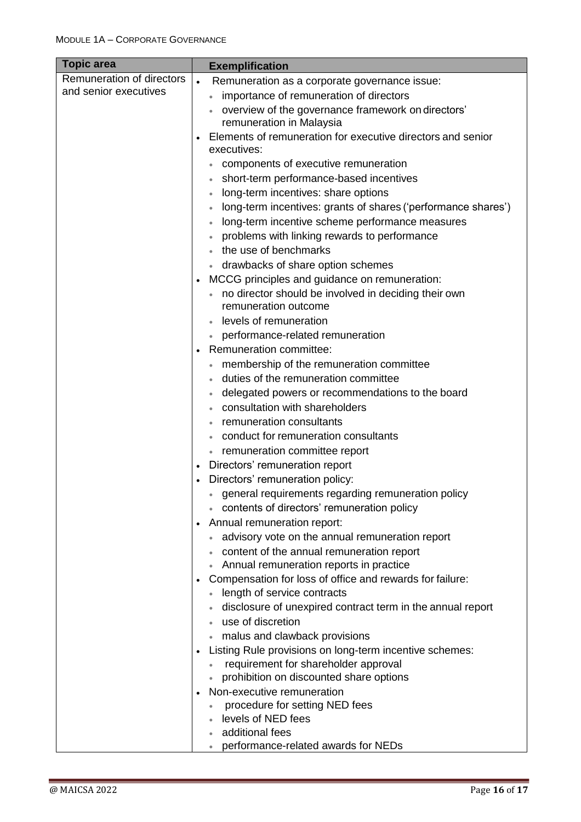| <b>Topic area</b>         |           | <b>Exemplification</b>                                        |
|---------------------------|-----------|---------------------------------------------------------------|
| Remuneration of directors | $\bullet$ | Remuneration as a corporate governance issue:                 |
| and senior executives     |           | importance of remuneration of directors                       |
|                           |           | overview of the governance framework on directors'            |
|                           |           | remuneration in Malaysia                                      |
|                           |           | Elements of remuneration for executive directors and senior   |
|                           |           | executives:                                                   |
|                           |           | components of executive remuneration                          |
|                           |           | short-term performance-based incentives                       |
|                           |           | long-term incentives: share options                           |
|                           |           | long-term incentives: grants of shares ('performance shares') |
|                           |           | long-term incentive scheme performance measures               |
|                           |           | problems with linking rewards to performance                  |
|                           |           | the use of benchmarks                                         |
|                           |           | drawbacks of share option schemes                             |
|                           |           | MCCG principles and guidance on remuneration:                 |
|                           |           | • no director should be involved in deciding their own        |
|                           |           | remuneration outcome                                          |
|                           |           | levels of remuneration                                        |
|                           |           | performance-related remuneration                              |
|                           | $\bullet$ | Remuneration committee:                                       |
|                           |           | membership of the remuneration committee                      |
|                           |           | duties of the remuneration committee                          |
|                           |           | delegated powers or recommendations to the board              |
|                           |           | consultation with shareholders                                |
|                           |           | remuneration consultants                                      |
|                           |           | conduct for remuneration consultants                          |
|                           |           | • remuneration committee report                               |
|                           | $\bullet$ | Directors' remuneration report                                |
|                           |           | Directors' remuneration policy:                               |
|                           |           | general requirements regarding remuneration policy            |
|                           |           | contents of directors' remuneration policy                    |
|                           |           | Annual remuneration report:                                   |
|                           |           | advisory vote on the annual remuneration report               |
|                           |           | content of the annual remuneration report                     |
|                           |           | Annual remuneration reports in practice                       |
|                           |           | Compensation for loss of office and rewards for failure:      |
|                           |           | • length of service contracts                                 |
|                           |           | disclosure of unexpired contract term in the annual report    |
|                           |           | use of discretion                                             |
|                           |           | malus and clawback provisions                                 |
|                           |           | Listing Rule provisions on long-term incentive schemes:       |
|                           |           | requirement for shareholder approval                          |
|                           |           | prohibition on discounted share options                       |
|                           |           | Non-executive remuneration                                    |
|                           |           | procedure for setting NED fees                                |
|                           |           | levels of NED fees                                            |
|                           |           | additional fees                                               |
|                           |           | performance-related awards for NEDs                           |